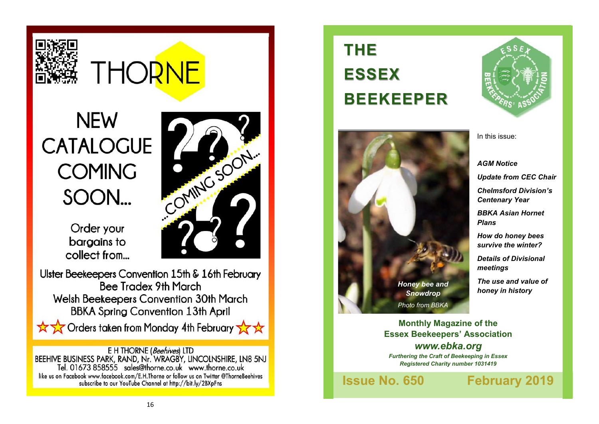

# **THORNE**

# **NEW** E KINGSON **CATALOGUE COMING** SOON...

Order your bargains to collect from...

Ulster Beekeepers Convention 15th & 16th February **Bee Tradex 9th March** Welsh Beekeepers Convention 30th March **BBKA Spring Convention 13th April** 

☆☆☆ Orders taken from Monday 4th February

E H THORNE (Beehives) LTD BEEHIVE BUSINESS PARK, RAND, Nr. WRAGBY, LINCOLNSHIRE, LN8 5NJ<br>Tel. 01673 858555 sales@thorne.co.uk www.thorne.co.uk like us on Facebook www.facebook.com/E.H.Thorne or follow us on Twitter @ThorneBeehives subscribe to our YouTube Channel at http://bit.ly/2BXpFns

# **THE ESSEX BEEKEEPER**





In this issue:

*AGM Notice Update from CEC Chair Chelmsford Division's Centenary Year*

*BBKA Asian Hornet Plans*

*How do honey bees survive the winter?*

*Details of Divisional meetings*

*The use and value of honey in history*

**Monthly Magazine of the Essex Beekeepers' Association** *www.ebka.org Furthering the Craft of Beekeeping in Essex Registered Charity number 1031419*

**Issue No. 650 February 2019**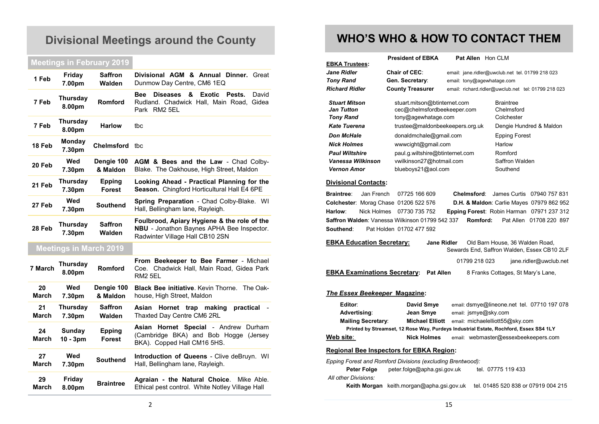# **Divisional Meetings around the County**

# **Meetings in February 2019**

| 1 Feb              | Friday<br>7.00pm            | <b>Saffron</b><br>Walden      | Divisional AGM & Annual Dinner. Great<br>Dunmow Day Centre, CM6 1EQ                                                                |
|--------------------|-----------------------------|-------------------------------|------------------------------------------------------------------------------------------------------------------------------------|
| 7 Feb              | <b>Thursday</b><br>8.00pm   | <b>Romford</b>                | <b>Exotic</b><br>David<br><b>Bee</b><br><b>Diseases</b><br>&<br>Pests.<br>Rudland. Chadwick Hall, Main Road, Gidea<br>Park RM2 5EL |
| 7 Feb              | <b>Thursday</b><br>8.00pm   | <b>Harlow</b>                 | tbc                                                                                                                                |
| 18 Feb             | <b>Monday</b><br>7.30pm     | Chelmsford tbc                |                                                                                                                                    |
| 20 Feb             | Wed<br>7.30pm               | Dengie 100<br>& Maldon        | AGM & Bees and the Law - Chad Colby-<br>Blake. The Oakhouse, High Street, Maldon                                                   |
| 21 Feb             | Thursday<br>7.30pm          | <b>Epping</b><br>Forest       | Looking Ahead - Practical Planning for the<br>Season. Chingford Horticultural Hall E4 6PE                                          |
| 27 Feb             | Wed<br>7.30pm               | <b>Southend</b>               | Spring Preparation - Chad Colby-Blake. WI<br>Hall, Bellingham lane, Rayleigh.                                                      |
| 28 Feb             | Thursday<br>7.30pm          | <b>Saffron</b><br>Walden      | Foulbrood, Apiary Hygiene & the role of the<br>NBU - Jonathon Baynes APHA Bee Inspector.<br>Radwinter Village Hall CB10 2SN        |
|                    |                             | <b>Meetings in March 2019</b> |                                                                                                                                    |
| 7 March            | <b>Thursday</b><br>8.00pm   | Romford                       | From Beekeeper to Bee Farmer - Michael<br>Coe. Chadwick Hall, Main Road, Gidea Park<br>RM <sub>2</sub> 5EL                         |
| 20<br><b>March</b> | Wed<br>7.30pm               | Dengie 100<br>& Maldon        | Black Bee initiative. Kevin Thorne.<br>The Oak-<br>house, High Street, Maldon                                                      |
| 21<br><b>March</b> | Thursday<br>7.30pm          | <b>Saffron</b><br>Walden      | Hornet trap<br>Asian<br>making<br>practical<br>Thaxted Day Centre CM6 2RL                                                          |
| 24<br>March        | <b>Sunday</b><br>$10 - 3pm$ | <b>Epping</b><br>Forest       | Asian Hornet Special - Andrew Durham<br>(Cambridge BKA) and Bob Hogge (Jersey<br>BKA). Copped Hall CM16 5HS.                       |
| 27<br><b>March</b> | Wed<br>7.30pm               | <b>Southend</b>               | <b>Introduction of Queens - Clive deBruyn. WI</b><br>Hall, Bellingham lane, Rayleigh.                                              |
| 29<br>March        | Friday<br>8.00pm            | <b>Braintree</b>              | Agraian - the Natural Choice.<br>Mike Able.<br>Ethical pest control. White Notley Village Hall                                     |

# **WHO'S WHO & HOW TO CONTACT THEM**

| <b>EBKA Trustees:</b>                                                                                                                                                                               | <b>President of EBKA</b>                                                                                                                                                                                                                                    | Pat Allen Hon CLM                                   |                                                                                                                         |                                                       |  |  |  |  |
|-----------------------------------------------------------------------------------------------------------------------------------------------------------------------------------------------------|-------------------------------------------------------------------------------------------------------------------------------------------------------------------------------------------------------------------------------------------------------------|-----------------------------------------------------|-------------------------------------------------------------------------------------------------------------------------|-------------------------------------------------------|--|--|--|--|
| Jane Ridler                                                                                                                                                                                         | <b>Chair of CEC:</b>                                                                                                                                                                                                                                        |                                                     | email: jane.ridler@uwclub.net tel. 01799 218 023                                                                        |                                                       |  |  |  |  |
| <b>Tony Rand</b>                                                                                                                                                                                    | Gen. Secretary:                                                                                                                                                                                                                                             |                                                     | email: tony@agewhatage.com                                                                                              |                                                       |  |  |  |  |
| <b>Richard Ridler</b>                                                                                                                                                                               | <b>County Treasurer</b>                                                                                                                                                                                                                                     | email: richard.ridler@uwclub.net tel: 01799 218 023 |                                                                                                                         |                                                       |  |  |  |  |
| <b>Stuart Mitson</b><br><b>Jan Tutton</b><br><b>Tony Rand</b><br><b>Kate Tuerena</b><br><b>Don McHale</b><br><b>Nick Holmes</b><br><b>Paul Wiltshire</b><br>Vanessa Wilkinson<br><b>Vernon Amor</b> | stuart.mitson@btinternet.com<br>cec@chelmsfordbeekeeper.com<br>tony@agewhatage.com<br>trustee@maldonbeekeepers.org.uk<br>donaldmchale@gmail.com<br>www.cight@gmail.com<br>paul.g.wiltshire@btinternet.com<br>vwilkinson27@hotmail.com<br>blueboys21@aol.com |                                                     | <b>Braintree</b><br>Chelmsford<br>Colchester<br><b>Epping Forest</b><br>Harlow<br>Romford<br>Saffron Walden<br>Southend | Dengie Hundred & Maldon                               |  |  |  |  |
| <b>Divisional Contacts:</b>                                                                                                                                                                         |                                                                                                                                                                                                                                                             |                                                     |                                                                                                                         |                                                       |  |  |  |  |
| Jan French<br><b>Braintree:</b><br>Colchester: Morag Chase 01206 522 576<br>Harlow:<br><b>Nick Holmes</b><br>Saffron Walden: Vanessa Wilkinson 01799 542 337<br>Southend:                           | 07725 166 609<br>07730 735 752<br>Pat Holden 01702 477 592                                                                                                                                                                                                  | Chelmsford:<br>Romford:                             | <b>D.H. &amp; Maldon: Carlie Mayes 07979 862 952</b><br>Epping Forest: Robin Harman 07971 237 312                       | James Curtis 07940 757 831<br>Pat Allen 01708 220 897 |  |  |  |  |
| <b>EBKA Education Secretary:</b><br><b>Jane Ridler</b><br>Old Barn House, 36 Walden Road,<br>Sewards End, Saffron Walden, Essex CB10 2LF                                                            |                                                                                                                                                                                                                                                             |                                                     |                                                                                                                         |                                                       |  |  |  |  |
|                                                                                                                                                                                                     |                                                                                                                                                                                                                                                             | 01799 218 023                                       |                                                                                                                         | jane.ridler@uwclub.net                                |  |  |  |  |
| <b>EBKA Examinations Secretary:</b>                                                                                                                                                                 | <b>Pat Allen</b>                                                                                                                                                                                                                                            |                                                     | 8 Franks Cottages, St Mary's Lane,                                                                                      |                                                       |  |  |  |  |
| The Essex Beekeeper Magazine:                                                                                                                                                                       |                                                                                                                                                                                                                                                             |                                                     |                                                                                                                         |                                                       |  |  |  |  |
| Editor:<br>Advertising:<br><b>Mailing Secretary:</b><br>Web site:                                                                                                                                   | David Smye<br>Jean Smye<br><b>Michael Elliott</b><br>Printed by Streamset, 12 Rose Way, Purdeys Industrial Estate, Rochford, Essex SS4 1LY<br><b>Nick Holmes</b>                                                                                            | email: jsmye@sky.com                                | email: dsmye@lineone.net_tel. 07710 197 078<br>email: michaelelliott55@sky.com<br>email: webmaster@essexbeekeepers.com  |                                                       |  |  |  |  |
| <u>Regional Bee Inspectors for EBKA Region:</u>                                                                                                                                                     |                                                                                                                                                                                                                                                             |                                                     |                                                                                                                         |                                                       |  |  |  |  |
| Epping Forest and Romford Divisions (excluding Brentwood):<br>Peter Folge<br>All other Divisions:                                                                                                   | peter.folge@apha.gsi.gov.uk<br>Keith Morgan keith morgan@apha.gsi.gov.uk                                                                                                                                                                                    |                                                     | tel. 07775 119 433<br>tel. 01485 520 838 or 07919 004 215                                                               |                                                       |  |  |  |  |
|                                                                                                                                                                                                     |                                                                                                                                                                                                                                                             |                                                     |                                                                                                                         |                                                       |  |  |  |  |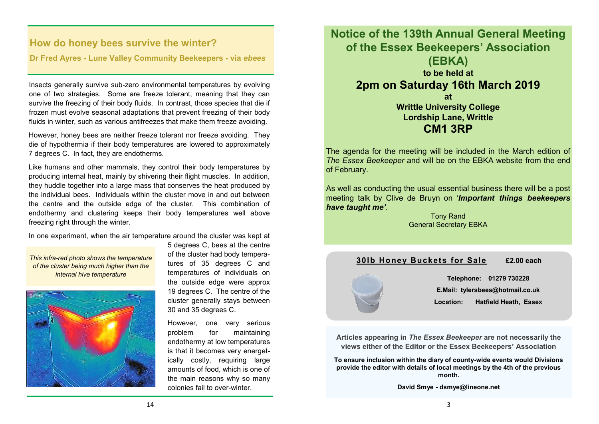# **How do honey bees survive the winter?**

### **Dr Fred Ayres - Lune Valley Community Beekeepers - via** *ebees*

Insects generally survive sub-zero environmental temperatures by evolving one of two strategies. Some are freeze tolerant, meaning that they can survive the freezing of their body fluids. In contrast, those species that die if frozen must evolve seasonal adaptations that prevent freezing of their body fluids in winter, such as various antifreezes that make them freeze avoiding.

However, honey bees are neither freeze tolerant nor freeze avoiding. They die of hypothermia if their body temperatures are lowered to approximately 7 degrees C. In fact, they are endotherms.

Like humans and other mammals, they control their body temperatures by producing internal heat, mainly by shivering their flight muscles. In addition, they huddle together into a large mass that conserves the heat produced by the individual bees. Individuals within the cluster move in and out between the centre and the outside edge of the cluster. This combination of endothermy and clustering keeps their body temperatures well above freezing right through the winter.

In one experiment, when the air temperature around the cluster was kept at

*This infra-red photo shows the temperature of the cluster being much higher than the internal hive temperature*



5 degrees C, bees at the centre of the cluster had body temperatures of 35 degrees C and temperatures of individuals on the outside edge were approx 19 degrees C. The centre of the cluster generally stays between 30 and 35 degrees C.

 However, one very serious problem for maintaining endothermy at low temperatures is that it becomes very energetically costly, requiring large amounts of food, which is one of the main reasons why so many colonies fail to over-winter.

**Notice of the 139th Annual General Meeting of the Essex Beekeepers' Association (EBKA) to be held at 2pm on Saturday 16th March 2019 at Writtle University College Lordship Lane, Writtle CM1 3RP**

The agenda for the meeting will be included in the March edition of *The Essex Beekeeper* and will be on the EBKA website from the end of February.

As well as conducting the usual essential business there will be a post meeting talk by Clive de Bruyn on '*Important things beekeepers have taught me'*.

> Tony Rand General Secretary EBKA

## **30lb Honey Buckets for Sale £2.00 each**



**Telephone: 01279 730228 E.Mail: tylersbees@hotmail.co.uk Location: Hatfield Heath, Essex** 

**Articles appearing in** *The Essex Beekeeper* **are not necessarily the views either of the Editor or the Essex Beekeepers' Association**

**To ensure inclusion within the diary of county-wide events would Divisions provide the editor with details of local meetings by the 4th of the previous month.**

**David Smye - dsmye@lineone.net**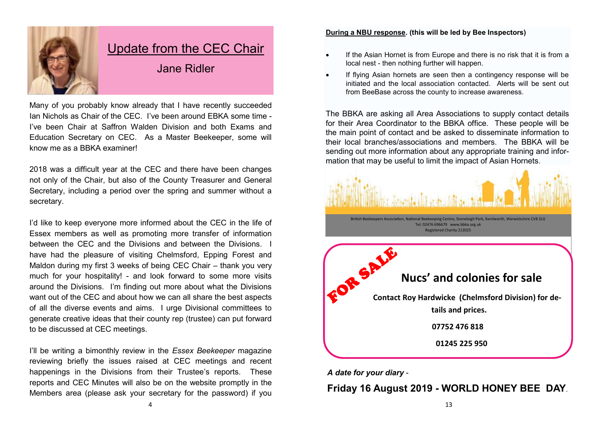

# Update from the CEC Chair

Jane Ridler

Many of you probably know already that I have recently succeeded Ian Nichols as Chair of the CEC. I've been around EBKA some time - I've been Chair at Saffron Walden Division and both Exams and Education Secretary on CEC. As a Master Beekeeper, some will know me as a BBKA examiner!

2018 was a difficult year at the CEC and there have been changes not only of the Chair, but also of the County Treasurer and General Secretary, including a period over the spring and summer without a secretary.

I'd like to keep everyone more informed about the CEC in the life of Essex members as well as promoting more transfer of information between the CEC and the Divisions and between the Divisions. I have had the pleasure of visiting Chelmsford, Epping Forest and Maldon during my first 3 weeks of being CEC Chair – thank you very much for your hospitality! - and look forward to some more visits around the Divisions. I'm finding out more about what the Divisions want out of the CEC and about how we can all share the best aspects of all the diverse events and aims. I urge Divisional committees to generate creative ideas that their county rep (trustee) can put forward to be discussed at CEC meetings.

I'll be writing a bimonthly review in the *Essex Beekeeper* magazine reviewing briefly the issues raised at CEC meetings and recent happenings in the Divisions from their Trustee's reports. These reports and CEC Minutes will also be on the website promptly in the Members area (please ask your secretary for the password) if you

#### **During a NBU response. (this will be led by Bee Inspectors)**

- If the Asian Hornet is from Europe and there is no risk that it is from a local nest - then nothing further will happen.
- If flying Asian hornets are seen then a contingency response will be initiated and the local association contacted. Alerts will be sent out from BeeBase across the county to increase awareness.

The BBKA are asking all Area Associations to supply contact details for their Area Coordinator to the BBKA office. These people will be the main point of contact and be asked to disseminate information to their local branches/associations and members. The BBKA will be sending out more information about any appropriate training and information that may be useful to limit the impact of Asian Hornets.



*A date for your diary* -

# **Friday 16 August 2019 - WORLD HONEY BEE DAY**.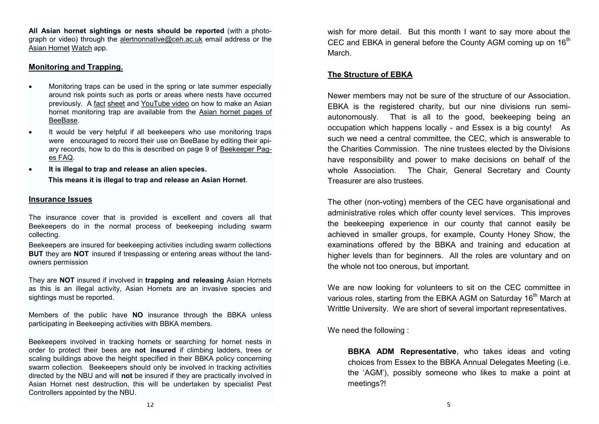**All Asian hornet sightings or nests should be reported** (with a photograph or video) through the alertnonnative@ceh.ac.uk email address or the [Asian Hornet](https://play.google.com/store/apps/details?id=uk.ac.ceh.hornets) [Watch](https://play.google.com/store/apps/details?id=uk.ac.ceh.hornets) [ap](https://play.google.com/store/apps/details?id=uk.ac.ceh.hornets)p.

#### **Monitoring and Trapping.**

- Monitoring traps can be used in the spring or late summer especially around risk points such as ports or areas where nests have occurred previously. A [fact](http://www.nationalbeeunit.com/downloadDocument.cfm?id=1056) [sheet](http://www.nationalbeeunit.com/downloadDocument.cfm?id=1056) [a](http://www.nationalbeeunit.com/downloadDocument.cfm?id=1056)nd [YouTube video](https://www.youtube.com/watch?v=CR6MUekAjMo) [o](https://www.youtube.com/watch?v=CR6MUekAjMo)n how to make an Asian hornet monitoring trap are available from the [Asian hornet pages of](http://www.nationalbeeunit.com/index.cfm?sectionid=117)  [BeeBase.](http://www.nationalbeeunit.com/index.cfm?sectionid=117)
- It would be very helpful if all beekeepers who use monitoring traps were encouraged to record their use on BeeBase by editing their apiary records, how to do this is described on page 9 of [Beekeeper Pag](https://secure.fera.defra.gov.uk/beebase/downloadNews.cfm?id=161)[es FAQ.](https://secure.fera.defra.gov.uk/beebase/downloadNews.cfm?id=161)
- **It is illegal to trap and release an alien species. This means it is illegal to trap and release an Asian Hornet**.

#### **Insurance Issues**

The insurance cover that is provided is excellent and covers all that Beekeepers do in the normal process of beekeeping including swarm collecting.

Beekeepers are insured for beekeeping activities including swarm collections **BUT** they are **NOT** insured if trespassing or entering areas without the landowners permission

They are **NOT** insured if involved in **trapping and releasing** Asian Hornets as this is an illegal activity, Asian Hornets are an invasive species and sightings must be reported.

Members of the public have **NO** insurance through the BBKA unless participating in Beekeeping activities with BBKA members.

Beekeepers involved in tracking hornets or searching for hornet nests in order to protect their bees are **not insured** if climbing ladders, trees or scaling buildings above the height specified in their BBKA policy concerning swarm collection. Beekeepers should only be involved in tracking activities directed by the NBU and will **not** be insured if they are practically involved in Asian Hornet nest destruction, this will be undertaken by specialist Pest Controllers appointed by the NBU.

wish for more detail. But this month I want to say more about the CEC and EBKA in general before the County AGM coming up on  $16<sup>th</sup>$ March.

### **The Structure of EBKA**

Newer members may not be sure of the structure of our Association. EBKA is the registered charity, but our nine divisions run semiautonomously. That is all to the good, beekeeping being an occupation which happens locally - and Essex is a big county! As such we need a central committee, the CEC, which is answerable to the Charities Commission. The nine trustees elected by the Divisions have responsibility and power to make decisions on behalf of the whole Association. The Chair, General Secretary and County Treasurer are also trustees.

The other (non-voting) members of the CEC have organisational and administrative roles which offer county level services. This improves the beekeeping experience in our county that cannot easily be achieved in smaller groups, for example, County Honey Show, the examinations offered by the BBKA and training and education at higher levels than for beginners. All the roles are voluntary and on the whole not too onerous, but important.

We are now looking for volunteers to sit on the CEC committee in various roles, starting from the EBKA AGM on Saturday 16<sup>th</sup> March at Writtle University. We are short of several important representatives.

We need the following :

**BBKA ADM Representative**, who takes ideas and voting choices from Essex to the BBKA Annual Delegates Meeting (i.e. the 'AGM'), possibly someone who likes to make a point at meetings?!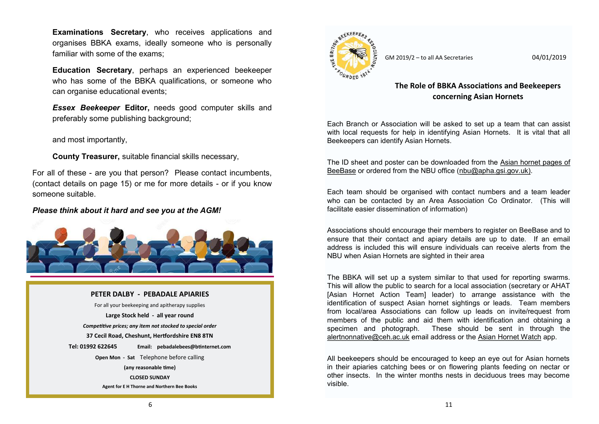**Examinations Secretary**, who receives applications and organises BBKA exams, ideally someone who is personally familiar with some of the exams;

**Education Secretary**, perhaps an experienced beekeeper who has some of the BBKA qualifications, or someone who can organise educational events;

*Essex Beekeeper* **Editor,** needs good computer skills and preferably some publishing background;

and most importantly,

**County Treasurer,** suitable financial skills necessary,

For all of these - are you that person? Please contact incumbents, (contact details on page 15) or me for more details - or if you know someone suitable.

#### *Please think about it hard and see you at the AGM!*



#### **PETER DALBY - PEBADALE APIARIES**

For all your beekeeping and apitherapy supplies **Large Stock held - all year round** *Competitive prices; any item not stocked to special order* **37 Cecil Road, Cheshunt, Hertfordshire EN8 8TN Tel: 01992 622645 Email: pebadalebees@btinternet.com Open Mon - Sat** Telephone before calling **(any reasonable time) CLOSED SUNDAY Agent for E H Thorne and Northern Bee Books**



GM 2019/2 – to all AA Secretaries 04/01/2019

## **The Role of BBKA Associations and Beekeepers concerning Asian Hornets**

Each Branch or Association will be asked to set up a team that can assist with local requests for help in identifying Asian Hornets. It is vital that all Beekeepers can identify Asian Hornets.

The ID sheet and poster can be downloaded from the [Asian hornet pages of](http://www.nationalbeeunit.com/index.cfm?sectionid=117)  [BeeBase](http://www.nationalbeeunit.com/index.cfm?sectionid=117) [or](http://www.nationalbeeunit.com/index.cfm?sectionid=117) ordered from the NBU office (nbu@apha.gsi.gov.uk).

Each team should be organised with contact numbers and a team leader who can be contacted by an Area Association Co Ordinator. (This will facilitate easier dissemination of information)

Associations should encourage their members to register on BeeBase and to ensure that their contact and apiary details are up to date. If an email address is included this will ensure individuals can receive alerts from the NBU when Asian Hornets are sighted in their area

The BBKA will set up a system similar to that used for reporting swarms. This will allow the public to search for a local association (secretary or AHAT [Asian Hornet Action Team] leader) to arrange assistance with the identification of suspect Asian hornet sightings or leads. Team members from local/area Associations can follow up leads on invite/request from members of the public and aid them with identification and obtaining a specimen and photograph. These should be sent in through the alertnonnative@ceh.ac.uk email address or the [Asian Hornet Watch](https://play.google.com/store/apps/details?id=uk.ac.ceh.hornets) [a](https://play.google.com/store/apps/details?id=uk.ac.ceh.hornets)pp.

All beekeepers should be encouraged to keep an eye out for Asian hornets in their apiaries catching bees or on flowering plants feeding on nectar or other insects. In the winter months nests in deciduous trees may become visible.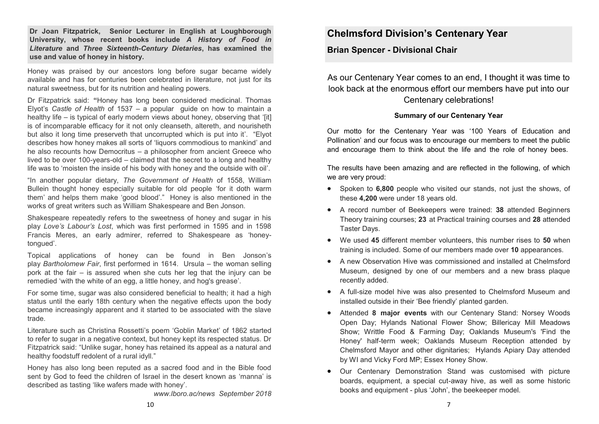**Dr Joan Fitzpatrick, Senior Lecturer in English at Loughborough University, whose recent books include** *A History of Food in Literature* **and** *Three Sixteenth-Century Dietaries***, has examined the use and value of honey in history.**

Honey was praised by our ancestors long before sugar became widely available and has for centuries been celebrated in literature, not just for its natural sweetness, but for its nutrition and healing powers.

Dr Fitzpatrick said: **"**Honey has long been considered medicinal. Thomas Elyot's *Castle of Health* of 1537 – a popular guide on how to maintain a healthy life – is typical of early modern views about honey, observing that '[it] is of incomparable efficacy for it not only cleanseth, altereth, and nourisheth but also it long time preserveth that uncorrupted which is put into it'. "Elyot describes how honey makes all sorts of 'liquors commodious to mankind' and he also recounts how Democritus – a philosopher from ancient Greece who lived to be over 100-years-old – claimed that the secret to a long and healthy life was to 'moisten the inside of his body with honey and the outside with oil'.

"In another popular dietary, *The Government of Health* of 1558, William Bullein thought honey especially suitable for old people 'for it doth warm them' and helps them make 'good blood'." Honey is also mentioned in the works of great writers such as William Shakespeare and Ben Jonson.

Shakespeare repeatedly refers to the sweetness of honey and sugar in his play *Love's Labour's Lost*, which was first performed in 1595 and in 1598 Francis Meres, an early admirer, referred to Shakespeare as 'honeytongued'.

Topical applications of honey can be found in Ben Jonson's play *Bartholomew Fair*, first performed in 1614. Ursula – the woman selling pork at the fair – is assured when she cuts her leg that the injury can be remedied 'with the white of an egg, a little honey, and hog's grease'.

For some time, sugar was also considered beneficial to health; it had a high status until the early 18th century when the negative effects upon the body became increasingly apparent and it started to be associated with the slave trade.

Literature such as Christina Rossetti's poem 'Goblin Market' of 1862 started to refer to sugar in a negative context, but honey kept its respected status. Dr Fitzpatrick said: "Unlike sugar, honey has retained its appeal as a natural and healthy foodstuff redolent of a rural idyll."

Honey has also long been reputed as a sacred food and in the Bible food sent by God to feed the children of Israel in the desert known as 'manna' is described as tasting 'like wafers made with honey'.

*www.lboro.ac/news September 2018*

# **Chelmsford Division's Centenary Year**

**Brian Spencer - Divisional Chair**

As our Centenary Year comes to an end, I thought it was time to look back at the enormous effort our members have put into our Centenary celebrations!

#### **Summary of our Centenary Year**

Our motto for the Centenary Year was '100 Years of Education and Pollination' and our focus was to encourage our members to meet the public and encourage them to think about the life and the role of honey bees.

The results have been amazing and are reflected in the following, of which we are very proud:

- Spoken to **6,800** people who visited our stands, not just the shows, of these **4,200** were under 18 years old.
- A record number of Beekeepers were trained: **38** attended Beginners Theory training courses; **23** at Practical training courses and **28** attended Taster Days.
- We used **45** different member volunteers, this number rises to **50** when training is included. Some of our members made over **10** appearances.
- A new Observation Hive was commissioned and installed at Chelmsford Museum, designed by one of our members and a new brass plaque recently added.
- A full-size model hive was also presented to Chelmsford Museum and installed outside in their 'Bee friendly' planted garden.
- Attended **8 major events** with our Centenary Stand: Norsey Woods Open Day; Hylands National Flower Show; Billericay Mill Meadows Show; Writtle Food & Farming Day; Oaklands Museum's 'Find the Honey' half-term week; Oaklands Museum Reception attended by Chelmsford Mayor and other dignitaries; Hylands Apiary Day attended by WI and Vicky Ford MP; Essex Honey Show.
- Our Centenary Demonstration Stand was customised with picture boards, equipment, a special cut-away hive, as well as some historic books and equipment - plus 'John', the beekeeper model.